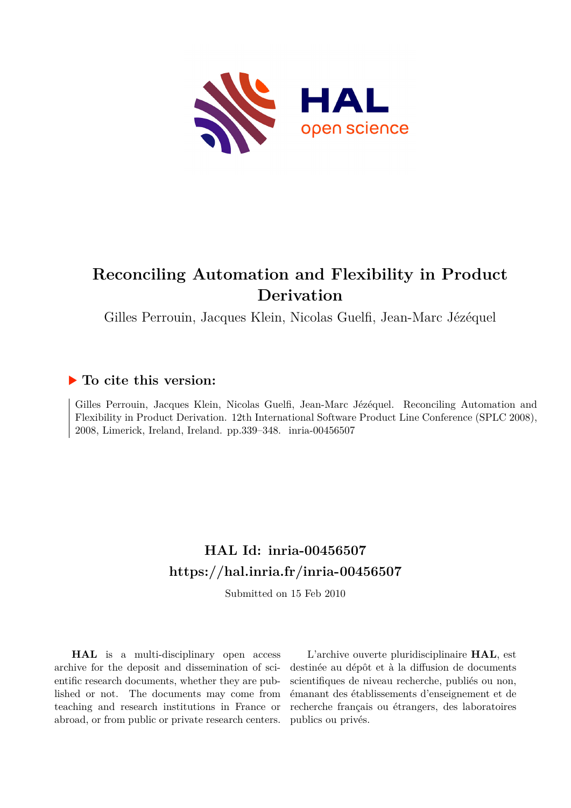

# **Reconciling Automation and Flexibility in Product Derivation**

Gilles Perrouin, Jacques Klein, Nicolas Guelfi, Jean-Marc Jézéquel

# **To cite this version:**

Gilles Perrouin, Jacques Klein, Nicolas Guelfi, Jean-Marc Jézéquel. Reconciling Automation and Flexibility in Product Derivation. 12th International Software Product Line Conference (SPLC 2008), 2008, Limerick, Ireland, Ireland. pp.339-348. inria-00456507

# **HAL Id: inria-00456507 <https://hal.inria.fr/inria-00456507>**

Submitted on 15 Feb 2010

**HAL** is a multi-disciplinary open access archive for the deposit and dissemination of scientific research documents, whether they are published or not. The documents may come from teaching and research institutions in France or abroad, or from public or private research centers.

L'archive ouverte pluridisciplinaire **HAL**, est destinée au dépôt et à la diffusion de documents scientifiques de niveau recherche, publiés ou non, émanant des établissements d'enseignement et de recherche français ou étrangers, des laboratoires publics ou privés.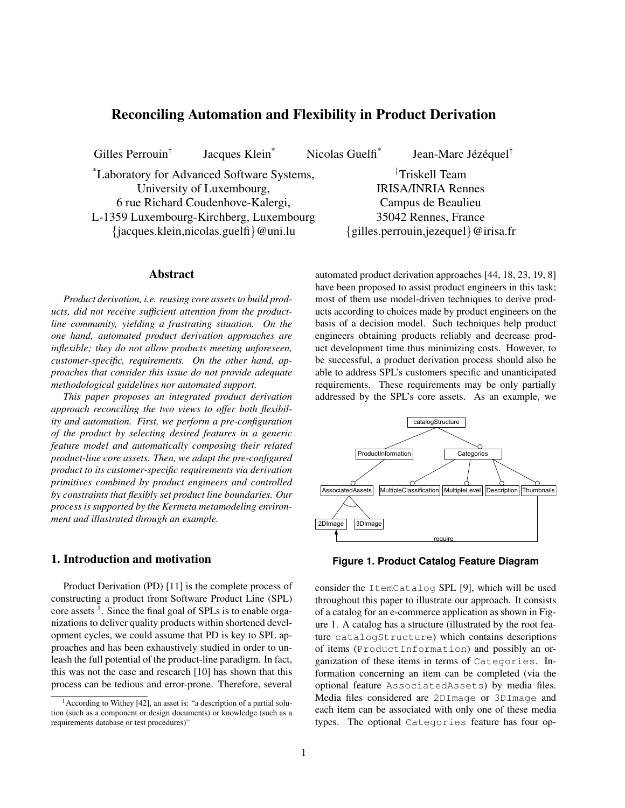# Reconciling Automation and Flexibility in Product Derivation

Gilles Perrouin†

Jacques Klein<sup>\*</sup> Nicolas Guelfi<sup>\*</sup>

Jean-Marc Jézéquel<sup>†</sup>

\*Laboratory for Advanced Software Systems, University of Luxembourg, 6 rue Richard Coudenhove-Kalergi, L-1359 Luxembourg-Kirchberg, Luxembourg {jacques.klein,nicolas.guelfi}@uni.lu

#### Abstract

*Product derivation, i.e. reusing core assets to build products, did not receive sufficient attention from the productline community, yielding a frustrating situation. On the one hand, automated product derivation approaches are inflexible; they do not allow products meeting unforeseen, customer-specific, requirements. On the other hand, approaches that consider this issue do not provide adequate methodological guidelines nor automated support.*

*This paper proposes an integrated product derivation approach reconciling the two views to offer both flexibility and automation. First, we perform a pre-configuration of the product by selecting desired features in a generic feature model and automatically composing their related product-line core assets. Then, we adapt the pre-configured product to its customer-specific requirements via derivation primitives combined by product engineers and controlled by constraints that flexibly set product line boundaries. Our process is supported by the Kermeta metamodeling environment and illustrated through an example.*

# 1. Introduction and motivation

Product Derivation (PD) [11] is the complete process of constructing a product from Software Product Line (SPL) core assets<sup>1</sup>. Since the final goal of SPLs is to enable organizations to deliver quality products within shortened development cycles, we could assume that PD is key to SPL approaches and has been exhaustively studied in order to unleash the full potential of the product-line paradigm. In fact, this was not the case and research [10] has shown that this process can be tedious and error-prone. Therefore, several

†Triskell Team IRISA/INRIA Rennes Campus de Beaulieu 35042 Rennes, France {gilles.perrouin,jezequel}@irisa.fr

automated product derivation approaches [44, 18, 23, 19, 8] have been proposed to assist product engineers in this task; most of them use model-driven techniques to derive products according to choices made by product engineers on the basis of a decision model. Such techniques help product engineers obtaining products reliably and decrease product development time thus minimizing costs. However, to be successful, a product derivation process should also be able to address SPL's customers specific and unanticipated requirements. These requirements may be only partially addressed by the SPL's core assets. As an example, we



**Figure 1. Product Catalog Feature Diagram**

consider the ItemCatalog SPL [9], which will be used throughout this paper to illustrate our approach. It consists of a catalog for an e-commerce application as shown in Figure 1. A catalog has a structure (illustrated by the root feature catalogStructure) which contains descriptions of items (ProductInformation) and possibly an organization of these items in terms of Categories. Information concerning an item can be completed (via the optional feature AssociatedAssets) by media files. Media files considered are 2DImage or 3DImage and each item can be associated with only one of these media types. The optional Categories feature has four op-

 $<sup>1</sup>$ According to Withey [42], an asset is: "a description of a partial solu-</sup> tion (such as a component or design documents) or knowledge (such as a requirements database or test procedures)"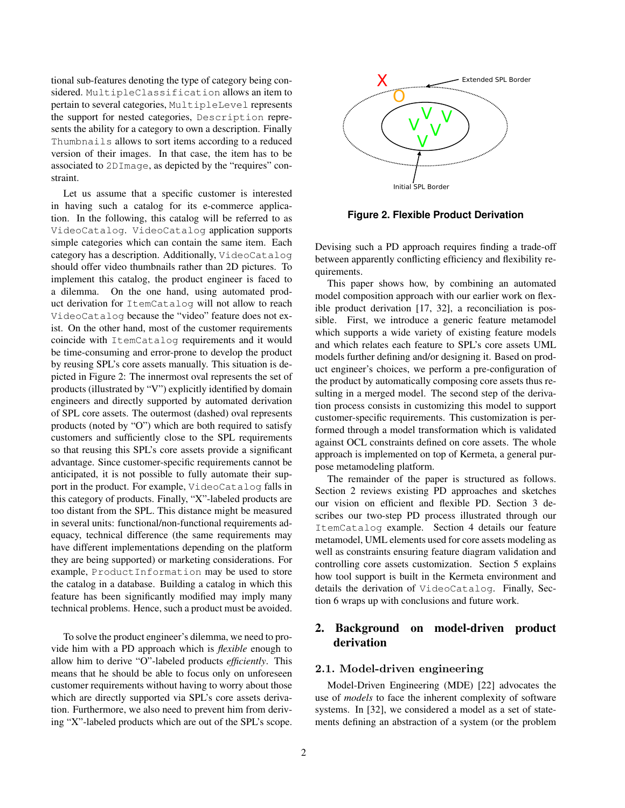tional sub-features denoting the type of category being considered. MultipleClassification allows an item to pertain to several categories, MultipleLevel represents the support for nested categories, Description represents the ability for a category to own a description. Finally Thumbnails allows to sort items according to a reduced version of their images. In that case, the item has to be associated to 2DImage, as depicted by the "requires" constraint.

Let us assume that a specific customer is interested in having such a catalog for its e-commerce application. In the following, this catalog will be referred to as VideoCatalog. VideoCatalog application supports simple categories which can contain the same item. Each category has a description. Additionally, VideoCatalog should offer video thumbnails rather than 2D pictures. To implement this catalog, the product engineer is faced to a dilemma. On the one hand, using automated product derivation for ItemCatalog will not allow to reach VideoCatalog because the "video" feature does not exist. On the other hand, most of the customer requirements coincide with ItemCatalog requirements and it would be time-consuming and error-prone to develop the product by reusing SPL's core assets manually. This situation is depicted in Figure 2: The innermost oval represents the set of products (illustrated by "V") explicitly identified by domain engineers and directly supported by automated derivation of SPL core assets. The outermost (dashed) oval represents products (noted by "O") which are both required to satisfy customers and sufficiently close to the SPL requirements so that reusing this SPL's core assets provide a significant advantage. Since customer-specific requirements cannot be anticipated, it is not possible to fully automate their support in the product. For example, VideoCatalog falls in this category of products. Finally, "X"-labeled products are too distant from the SPL. This distance might be measured in several units: functional/non-functional requirements adequacy, technical difference (the same requirements may have different implementations depending on the platform they are being supported) or marketing considerations. For example, ProductInformation may be used to store the catalog in a database. Building a catalog in which this feature has been significantly modified may imply many technical problems. Hence, such a product must be avoided.

To solve the product engineer's dilemma, we need to provide him with a PD approach which is *flexible* enough to allow him to derive "O"-labeled products *efficiently*. This means that he should be able to focus only on unforeseen customer requirements without having to worry about those which are directly supported via SPL's core assets derivation. Furthermore, we also need to prevent him from deriving "X"-labeled products which are out of the SPL's scope.



**Figure 2. Flexible Product Derivation**

Devising such a PD approach requires finding a trade-off between apparently conflicting efficiency and flexibility requirements.

This paper shows how, by combining an automated model composition approach with our earlier work on flexible product derivation [17, 32], a reconciliation is possible. First, we introduce a generic feature metamodel which supports a wide variety of existing feature models and which relates each feature to SPL's core assets UML models further defining and/or designing it. Based on product engineer's choices, we perform a pre-configuration of the product by automatically composing core assets thus resulting in a merged model. The second step of the derivation process consists in customizing this model to support customer-specific requirements. This customization is performed through a model transformation which is validated against OCL constraints defined on core assets. The whole approach is implemented on top of Kermeta, a general purpose metamodeling platform.

The remainder of the paper is structured as follows. Section 2 reviews existing PD approaches and sketches our vision on efficient and flexible PD. Section 3 describes our two-step PD process illustrated through our ItemCatalog example. Section 4 details our feature metamodel, UML elements used for core assets modeling as well as constraints ensuring feature diagram validation and controlling core assets customization. Section 5 explains how tool support is built in the Kermeta environment and details the derivation of VideoCatalog. Finally, Section 6 wraps up with conclusions and future work.

# 2. Background on model-driven product derivation

#### 2.1. Model-driven engineering

Model-Driven Engineering (MDE) [22] advocates the use of *models* to face the inherent complexity of software systems. In [32], we considered a model as a set of statements defining an abstraction of a system (or the problem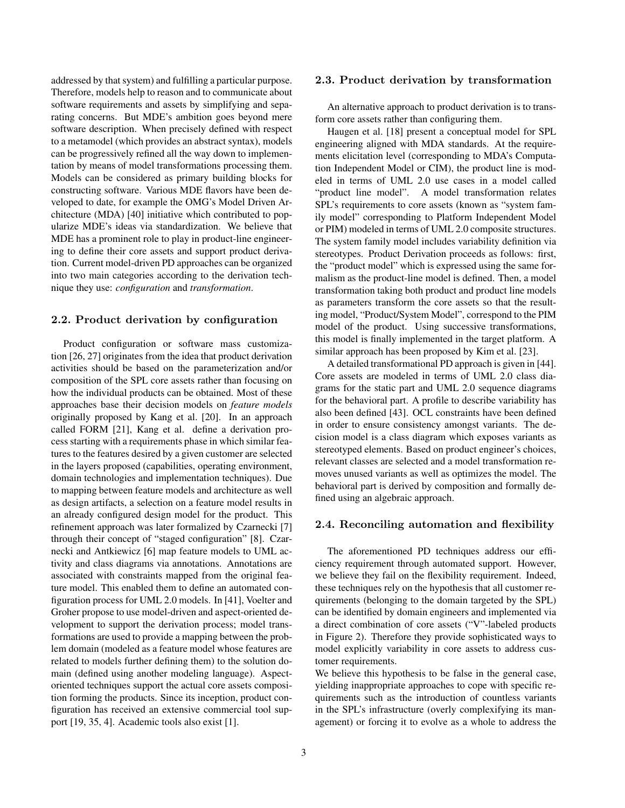addressed by that system) and fulfilling a particular purpose. Therefore, models help to reason and to communicate about software requirements and assets by simplifying and separating concerns. But MDE's ambition goes beyond mere software description. When precisely defined with respect to a metamodel (which provides an abstract syntax), models can be progressively refined all the way down to implementation by means of model transformations processing them. Models can be considered as primary building blocks for constructing software. Various MDE flavors have been developed to date, for example the OMG's Model Driven Architecture (MDA) [40] initiative which contributed to popularize MDE's ideas via standardization. We believe that MDE has a prominent role to play in product-line engineering to define their core assets and support product derivation. Current model-driven PD approaches can be organized into two main categories according to the derivation technique they use: *configuration* and *transformation*.

#### 2.2. Product derivation by configuration

Product configuration or software mass customization [26, 27] originates from the idea that product derivation activities should be based on the parameterization and/or composition of the SPL core assets rather than focusing on how the individual products can be obtained. Most of these approaches base their decision models on *feature models* originally proposed by Kang et al. [20]. In an approach called FORM [21], Kang et al. define a derivation process starting with a requirements phase in which similar features to the features desired by a given customer are selected in the layers proposed (capabilities, operating environment, domain technologies and implementation techniques). Due to mapping between feature models and architecture as well as design artifacts, a selection on a feature model results in an already configured design model for the product. This refinement approach was later formalized by Czarnecki [7] through their concept of "staged configuration" [8]. Czarnecki and Antkiewicz [6] map feature models to UML activity and class diagrams via annotations. Annotations are associated with constraints mapped from the original feature model. This enabled them to define an automated configuration process for UML 2.0 models. In [41], Voelter and Groher propose to use model-driven and aspect-oriented development to support the derivation process; model transformations are used to provide a mapping between the problem domain (modeled as a feature model whose features are related to models further defining them) to the solution domain (defined using another modeling language). Aspectoriented techniques support the actual core assets composition forming the products. Since its inception, product configuration has received an extensive commercial tool support [19, 35, 4]. Academic tools also exist [1].

#### 2.3. Product derivation by transformation

An alternative approach to product derivation is to transform core assets rather than configuring them.

Haugen et al. [18] present a conceptual model for SPL engineering aligned with MDA standards. At the requirements elicitation level (corresponding to MDA's Computation Independent Model or CIM), the product line is modeled in terms of UML 2.0 use cases in a model called "product line model". A model transformation relates SPL's requirements to core assets (known as "system family model" corresponding to Platform Independent Model or PIM) modeled in terms of UML 2.0 composite structures. The system family model includes variability definition via stereotypes. Product Derivation proceeds as follows: first, the "product model" which is expressed using the same formalism as the product-line model is defined. Then, a model transformation taking both product and product line models as parameters transform the core assets so that the resulting model, "Product/System Model", correspond to the PIM model of the product. Using successive transformations, this model is finally implemented in the target platform. A similar approach has been proposed by Kim et al. [23].

A detailed transformational PD approach is given in [44]. Core assets are modeled in terms of UML 2.0 class diagrams for the static part and UML 2.0 sequence diagrams for the behavioral part. A profile to describe variability has also been defined [43]. OCL constraints have been defined in order to ensure consistency amongst variants. The decision model is a class diagram which exposes variants as stereotyped elements. Based on product engineer's choices, relevant classes are selected and a model transformation removes unused variants as well as optimizes the model. The behavioral part is derived by composition and formally defined using an algebraic approach.

#### 2.4. Reconciling automation and flexibility

The aforementioned PD techniques address our efficiency requirement through automated support. However, we believe they fail on the flexibility requirement. Indeed, these techniques rely on the hypothesis that all customer requirements (belonging to the domain targeted by the SPL) can be identified by domain engineers and implemented via a direct combination of core assets ("V"-labeled products in Figure 2). Therefore they provide sophisticated ways to model explicitly variability in core assets to address customer requirements.

We believe this hypothesis to be false in the general case, yielding inappropriate approaches to cope with specific requirements such as the introduction of countless variants in the SPL's infrastructure (overly complexifying its management) or forcing it to evolve as a whole to address the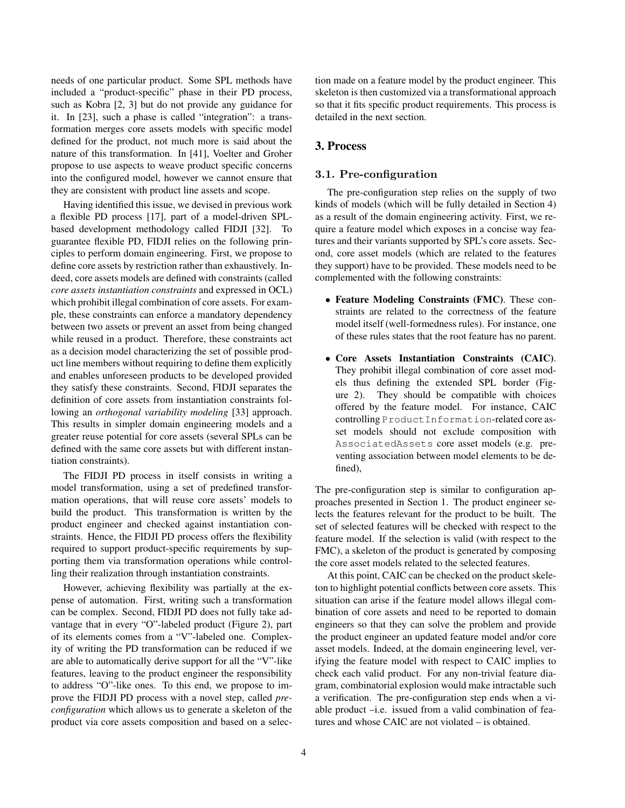needs of one particular product. Some SPL methods have included a "product-specific" phase in their PD process, such as Kobra [2, 3] but do not provide any guidance for it. In [23], such a phase is called "integration": a transformation merges core assets models with specific model defined for the product, not much more is said about the nature of this transformation. In [41], Voelter and Groher propose to use aspects to weave product specific concerns into the configured model, however we cannot ensure that they are consistent with product line assets and scope.

Having identified this issue, we devised in previous work a flexible PD process [17], part of a model-driven SPLbased development methodology called FIDJI [32]. To guarantee flexible PD, FIDJI relies on the following principles to perform domain engineering. First, we propose to define core assets by restriction rather than exhaustively. Indeed, core assets models are defined with constraints (called *core assets instantiation constraints* and expressed in OCL) which prohibit illegal combination of core assets. For example, these constraints can enforce a mandatory dependency between two assets or prevent an asset from being changed while reused in a product. Therefore, these constraints act as a decision model characterizing the set of possible product line members without requiring to define them explicitly and enables unforeseen products to be developed provided they satisfy these constraints. Second, FIDJI separates the definition of core assets from instantiation constraints following an *orthogonal variability modeling* [33] approach. This results in simpler domain engineering models and a greater reuse potential for core assets (several SPLs can be defined with the same core assets but with different instantiation constraints).

The FIDJI PD process in itself consists in writing a model transformation, using a set of predefined transformation operations, that will reuse core assets' models to build the product. This transformation is written by the product engineer and checked against instantiation constraints. Hence, the FIDJI PD process offers the flexibility required to support product-specific requirements by supporting them via transformation operations while controlling their realization through instantiation constraints.

However, achieving flexibility was partially at the expense of automation. First, writing such a transformation can be complex. Second, FIDJI PD does not fully take advantage that in every "O"-labeled product (Figure 2), part of its elements comes from a "V"-labeled one. Complexity of writing the PD transformation can be reduced if we are able to automatically derive support for all the "V"-like features, leaving to the product engineer the responsibility to address "O"-like ones. To this end, we propose to improve the FIDJI PD process with a novel step, called *preconfiguration* which allows us to generate a skeleton of the product via core assets composition and based on a selection made on a feature model by the product engineer. This skeleton is then customized via a transformational approach so that it fits specific product requirements. This process is detailed in the next section.

# 3. Process

#### 3.1. Pre-configuration

The pre-configuration step relies on the supply of two kinds of models (which will be fully detailed in Section 4) as a result of the domain engineering activity. First, we require a feature model which exposes in a concise way features and their variants supported by SPL's core assets. Second, core asset models (which are related to the features they support) have to be provided. These models need to be complemented with the following constraints:

- Feature Modeling Constraints (FMC). These constraints are related to the correctness of the feature model itself (well-formedness rules). For instance, one of these rules states that the root feature has no parent.
- Core Assets Instantiation Constraints (CAIC). They prohibit illegal combination of core asset models thus defining the extended SPL border (Figure 2). They should be compatible with choices offered by the feature model. For instance, CAIC controlling ProductInformation-related core asset models should not exclude composition with AssociatedAssets core asset models (e.g. preventing association between model elements to be defined),

The pre-configuration step is similar to configuration approaches presented in Section 1. The product engineer selects the features relevant for the product to be built. The set of selected features will be checked with respect to the feature model. If the selection is valid (with respect to the FMC), a skeleton of the product is generated by composing the core asset models related to the selected features.

At this point, CAIC can be checked on the product skeleton to highlight potential conflicts between core assets. This situation can arise if the feature model allows illegal combination of core assets and need to be reported to domain engineers so that they can solve the problem and provide the product engineer an updated feature model and/or core asset models. Indeed, at the domain engineering level, verifying the feature model with respect to CAIC implies to check each valid product. For any non-trivial feature diagram, combinatorial explosion would make intractable such a verification. The pre-configuration step ends when a viable product –i.e. issued from a valid combination of features and whose CAIC are not violated – is obtained.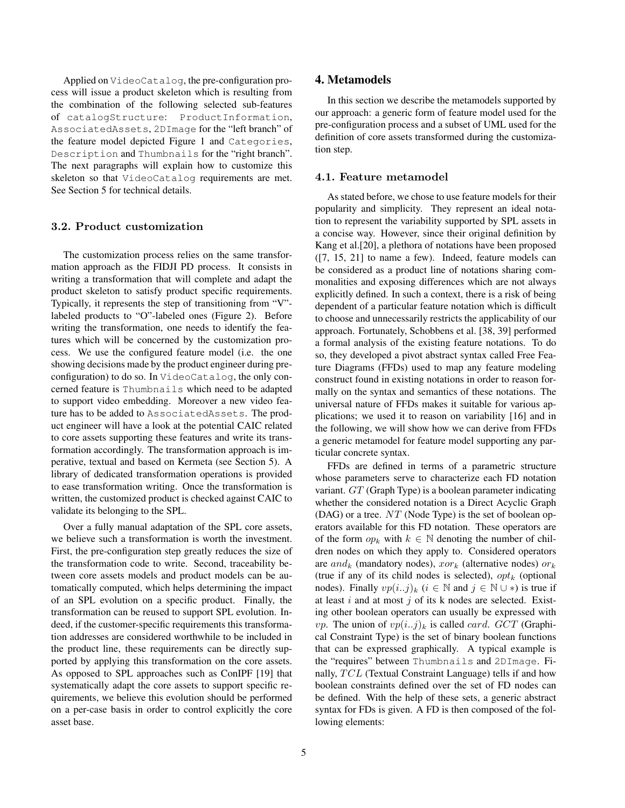Applied on VideoCatalog, the pre-configuration process will issue a product skeleton which is resulting from the combination of the following selected sub-features of catalogStructure: ProductInformation, AssociatedAssets, 2DImage for the "left branch" of the feature model depicted Figure 1 and Categories, Description and Thumbnails for the "right branch". The next paragraphs will explain how to customize this skeleton so that VideoCatalog requirements are met. See Section 5 for technical details.

#### 3.2. Product customization

The customization process relies on the same transformation approach as the FIDJI PD process. It consists in writing a transformation that will complete and adapt the product skeleton to satisfy product specific requirements. Typically, it represents the step of transitioning from "V" labeled products to "O"-labeled ones (Figure 2). Before writing the transformation, one needs to identify the features which will be concerned by the customization process. We use the configured feature model (i.e. the one showing decisions made by the product engineer during preconfiguration) to do so. In VideoCatalog, the only concerned feature is Thumbnails which need to be adapted to support video embedding. Moreover a new video feature has to be added to AssociatedAssets. The product engineer will have a look at the potential CAIC related to core assets supporting these features and write its transformation accordingly. The transformation approach is imperative, textual and based on Kermeta (see Section 5). A library of dedicated transformation operations is provided to ease transformation writing. Once the transformation is written, the customized product is checked against CAIC to validate its belonging to the SPL.

Over a fully manual adaptation of the SPL core assets, we believe such a transformation is worth the investment. First, the pre-configuration step greatly reduces the size of the transformation code to write. Second, traceability between core assets models and product models can be automatically computed, which helps determining the impact of an SPL evolution on a specific product. Finally, the transformation can be reused to support SPL evolution. Indeed, if the customer-specific requirements this transformation addresses are considered worthwhile to be included in the product line, these requirements can be directly supported by applying this transformation on the core assets. As opposed to SPL approaches such as ConIPF [19] that systematically adapt the core assets to support specific requirements, we believe this evolution should be performed on a per-case basis in order to control explicitly the core asset base.

#### 4. Metamodels

In this section we describe the metamodels supported by our approach: a generic form of feature model used for the pre-configuration process and a subset of UML used for the definition of core assets transformed during the customization step.

#### 4.1. Feature metamodel

As stated before, we chose to use feature models for their popularity and simplicity. They represent an ideal notation to represent the variability supported by SPL assets in a concise way. However, since their original definition by Kang et al.[20], a plethora of notations have been proposed ([7, 15, 21] to name a few). Indeed, feature models can be considered as a product line of notations sharing commonalities and exposing differences which are not always explicitly defined. In such a context, there is a risk of being dependent of a particular feature notation which is difficult to choose and unnecessarily restricts the applicability of our approach. Fortunately, Schobbens et al. [38, 39] performed a formal analysis of the existing feature notations. To do so, they developed a pivot abstract syntax called Free Feature Diagrams (FFDs) used to map any feature modeling construct found in existing notations in order to reason formally on the syntax and semantics of these notations. The universal nature of FFDs makes it suitable for various applications; we used it to reason on variability [16] and in the following, we will show how we can derive from FFDs a generic metamodel for feature model supporting any particular concrete syntax.

FFDs are defined in terms of a parametric structure whose parameters serve to characterize each FD notation variant. GT (Graph Type) is a boolean parameter indicating whether the considered notation is a Direct Acyclic Graph (DAG) or a tree.  $NT$  (Node Type) is the set of boolean operators available for this FD notation. These operators are of the form  $op_k$  with  $k \in \mathbb{N}$  denoting the number of children nodes on which they apply to. Considered operators are and<sub>k</sub> (mandatory nodes),  $xor_k$  (alternative nodes)  $or_k$ (true if any of its child nodes is selected),  $opt_k$  (optional nodes). Finally  $vp(i..j)_k$   $(i \in \mathbb{N}$  and  $j \in \mathbb{N} \cup *)$  is true if at least  $i$  and at most  $j$  of its k nodes are selected. Existing other boolean operators can usually be expressed with *vp*. The union of  $vp(i..j)_k$  is called *card. GCT* (Graphical Constraint Type) is the set of binary boolean functions that can be expressed graphically. A typical example is the "requires" between Thumbnails and 2DImage. Finally,  $TCL$  (Textual Constraint Language) tells if and how boolean constraints defined over the set of FD nodes can be defined. With the help of these sets, a generic abstract syntax for FDs is given. A FD is then composed of the following elements: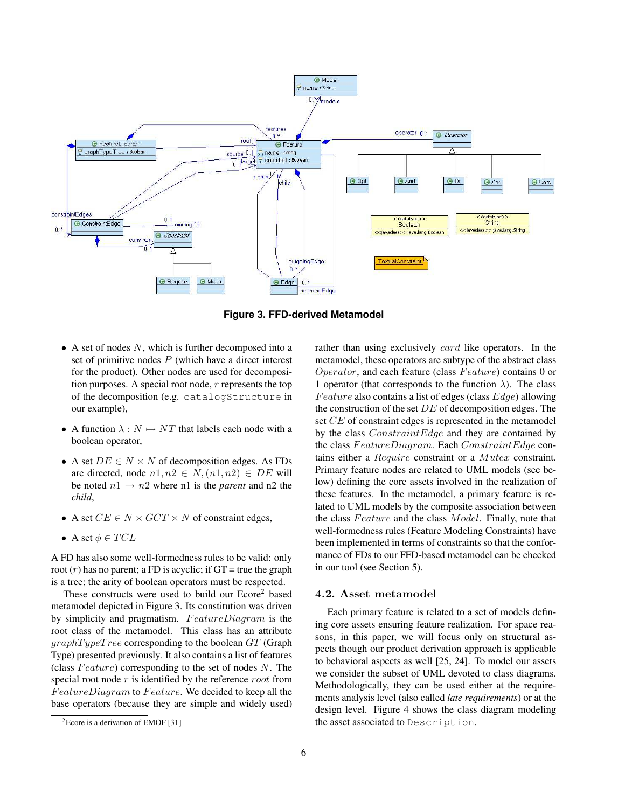

**Figure 3. FFD-derived Metamodel**

- $\bullet$  A set of nodes N, which is further decomposed into a set of primitive nodes  $P$  (which have a direct interest for the product). Other nodes are used for decomposition purposes. A special root node, r represents the top of the decomposition (e.g. catalogStructure in our example),
- A function  $\lambda : N \mapsto NT$  that labels each node with a boolean operator,
- A set  $DE \in N \times N$  of decomposition edges. As FDs are directed, node  $n1, n2 \in N$ ,  $(n1, n2) \in DE$  will be noted  $n1 \rightarrow n2$  where n1 is the *parent* and n2 the *child*,
- A set  $CE \in N \times GCT \times N$  of constraint edges,
- A set  $\phi \in TCL$

A FD has also some well-formedness rules to be valid: only root  $(r)$  has no parent; a FD is acyclic; if GT = true the graph is a tree; the arity of boolean operators must be respected.

These constructs were used to build our Ecore<sup>2</sup> based metamodel depicted in Figure 3. Its constitution was driven by simplicity and pragmatism.  $FeatureDiagram$  is the root class of the metamodel. This class has an attribute  $graphTypeTree$  corresponding to the boolean  $GT$  (Graph Type) presented previously. It also contains a list of features (class  $Feature$ ) corresponding to the set of nodes N. The special root node  $r$  is identified by the reference  $root$  from  $FeatureDiagram$  to  $Feature$ . We decided to keep all the base operators (because they are simple and widely used) rather than using exclusively *card* like operators. In the metamodel, these operators are subtype of the abstract class *Operator*, and each feature (class  $Feature$ ) contains 0 or 1 operator (that corresponds to the function  $\lambda$ ). The class *Feature* also contains a list of edges (class  $Edge$ ) allowing the construction of the set  $DE$  of decomposition edges. The set CE of constraint edges is represented in the metamodel by the class *ConstraintEdge* and they are contained by the class  $FeatureDiagram$ . Each  $ConstraintEdge$  contains either a Require constraint or a Mutex constraint. Primary feature nodes are related to UML models (see below) defining the core assets involved in the realization of these features. In the metamodel, a primary feature is related to UML models by the composite association between the class  $Feature$  and the class  $Model$ . Finally, note that well-formedness rules (Feature Modeling Constraints) have been implemented in terms of constraints so that the conformance of FDs to our FFD-based metamodel can be checked in our tool (see Section 5).

#### 4.2. Asset metamodel

Each primary feature is related to a set of models defining core assets ensuring feature realization. For space reasons, in this paper, we will focus only on structural aspects though our product derivation approach is applicable to behavioral aspects as well [25, 24]. To model our assets we consider the subset of UML devoted to class diagrams. Methodologically, they can be used either at the requirements analysis level (also called *late requirements*) or at the design level. Figure 4 shows the class diagram modeling the asset associated to Description.

 ${}^{2}$ Ecore is a derivation of EMOF [31]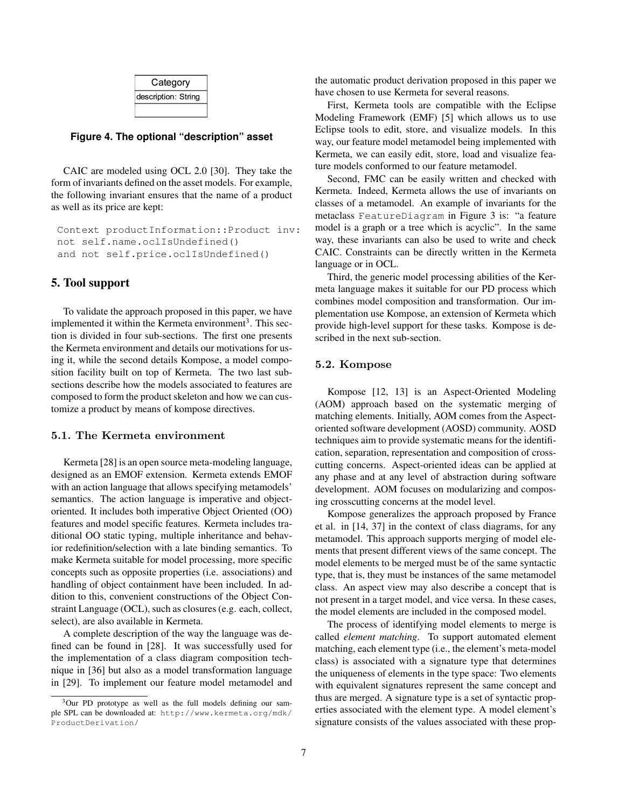| Category            |
|---------------------|
| description: String |
|                     |

#### **Figure 4. The optional "description" asset**

CAIC are modeled using OCL 2.0 [30]. They take the form of invariants defined on the asset models. For example, the following invariant ensures that the name of a product as well as its price are kept:

```
Context productInformation::Product inv:
not self.name.oclIsUndefined()
and not self.price.oclIsUndefined()
```
#### 5. Tool support

To validate the approach proposed in this paper, we have implemented it within the Kermeta environment<sup>3</sup>. This section is divided in four sub-sections. The first one presents the Kermeta environment and details our motivations for using it, while the second details Kompose, a model composition facility built on top of Kermeta. The two last subsections describe how the models associated to features are composed to form the product skeleton and how we can customize a product by means of kompose directives.

#### 5.1. The Kermeta environment

Kermeta [28] is an open source meta-modeling language, designed as an EMOF extension. Kermeta extends EMOF with an action language that allows specifying metamodels' semantics. The action language is imperative and objectoriented. It includes both imperative Object Oriented (OO) features and model specific features. Kermeta includes traditional OO static typing, multiple inheritance and behavior redefinition/selection with a late binding semantics. To make Kermeta suitable for model processing, more specific concepts such as opposite properties (i.e. associations) and handling of object containment have been included. In addition to this, convenient constructions of the Object Constraint Language (OCL), such as closures (e.g. each, collect, select), are also available in Kermeta.

A complete description of the way the language was defined can be found in [28]. It was successfully used for the implementation of a class diagram composition technique in [36] but also as a model transformation language in [29]. To implement our feature model metamodel and the automatic product derivation proposed in this paper we have chosen to use Kermeta for several reasons.

First, Kermeta tools are compatible with the Eclipse Modeling Framework (EMF) [5] which allows us to use Eclipse tools to edit, store, and visualize models. In this way, our feature model metamodel being implemented with Kermeta, we can easily edit, store, load and visualize feature models conformed to our feature metamodel.

Second, FMC can be easily written and checked with Kermeta. Indeed, Kermeta allows the use of invariants on classes of a metamodel. An example of invariants for the metaclass FeatureDiagram in Figure 3 is: "a feature model is a graph or a tree which is acyclic". In the same way, these invariants can also be used to write and check CAIC. Constraints can be directly written in the Kermeta language or in OCL.

Third, the generic model processing abilities of the Kermeta language makes it suitable for our PD process which combines model composition and transformation. Our implementation use Kompose, an extension of Kermeta which provide high-level support for these tasks. Kompose is described in the next sub-section.

# 5.2. Kompose

Kompose [12, 13] is an Aspect-Oriented Modeling (AOM) approach based on the systematic merging of matching elements. Initially, AOM comes from the Aspectoriented software development (AOSD) community. AOSD techniques aim to provide systematic means for the identification, separation, representation and composition of crosscutting concerns. Aspect-oriented ideas can be applied at any phase and at any level of abstraction during software development. AOM focuses on modularizing and composing crosscutting concerns at the model level.

Kompose generalizes the approach proposed by France et al. in [14, 37] in the context of class diagrams, for any metamodel. This approach supports merging of model elements that present different views of the same concept. The model elements to be merged must be of the same syntactic type, that is, they must be instances of the same metamodel class. An aspect view may also describe a concept that is not present in a target model, and vice versa. In these cases, the model elements are included in the composed model.

The process of identifying model elements to merge is called *element matching*. To support automated element matching, each element type (i.e., the element's meta-model class) is associated with a signature type that determines the uniqueness of elements in the type space: Two elements with equivalent signatures represent the same concept and thus are merged. A signature type is a set of syntactic properties associated with the element type. A model element's signature consists of the values associated with these prop-

<sup>&</sup>lt;sup>3</sup>Our PD prototype as well as the full models defining our sample SPL can be downloaded at: http://www.kermeta.org/mdk/ ProductDerivation/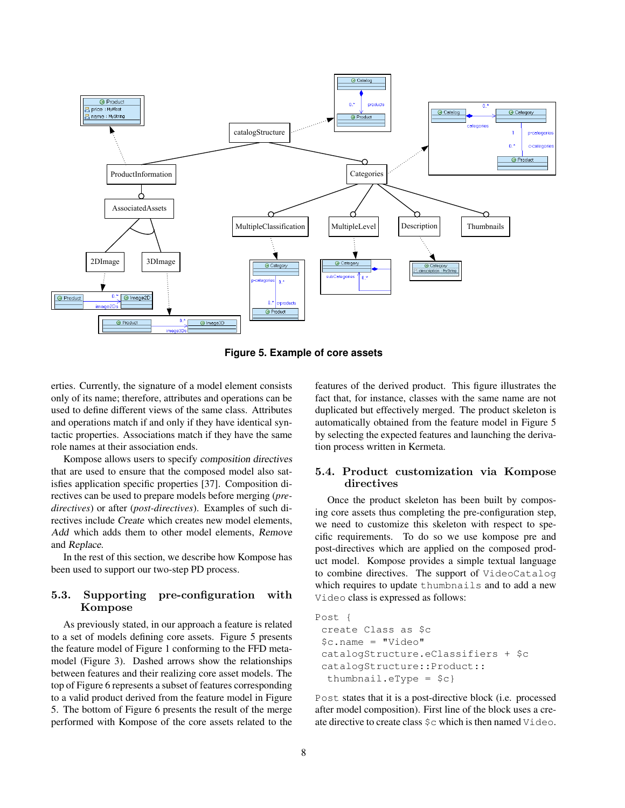

**Figure 5. Example of core assets**

erties. Currently, the signature of a model element consists only of its name; therefore, attributes and operations can be used to define different views of the same class. Attributes and operations match if and only if they have identical syntactic properties. Associations match if they have the same role names at their association ends.

Kompose allows users to specify composition directives that are used to ensure that the composed model also satisfies application specific properties [37]. Composition directives can be used to prepare models before merging (*predirectives*) or after (*post-directives*). Examples of such directives include Create which creates new model elements, Add which adds them to other model elements, Remove and Replace.

In the rest of this section, we describe how Kompose has been used to support our two-step PD process.

# 5.3. Supporting pre-configuration with Kompose

As previously stated, in our approach a feature is related to a set of models defining core assets. Figure 5 presents the feature model of Figure 1 conforming to the FFD metamodel (Figure 3). Dashed arrows show the relationships between features and their realizing core asset models. The top of Figure 6 represents a subset of features corresponding to a valid product derived from the feature model in Figure 5. The bottom of Figure 6 presents the result of the merge performed with Kompose of the core assets related to the features of the derived product. This figure illustrates the fact that, for instance, classes with the same name are not duplicated but effectively merged. The product skeleton is automatically obtained from the feature model in Figure 5 by selecting the expected features and launching the derivation process written in Kermeta.

# 5.4. Product customization via Kompose directives

Once the product skeleton has been built by composing core assets thus completing the pre-configuration step, we need to customize this skeleton with respect to specific requirements. To do so we use kompose pre and post-directives which are applied on the composed product model. Kompose provides a simple textual language to combine directives. The support of VideoCatalog which requires to update thumbnails and to add a new Video class is expressed as follows:

```
Post {
 create Class as $c
 $c.name = "Video"
 catalogStructure.eClassifiers + $c
 catalogStructure::Product::
  thumbnail.eType = $c}
```
Post states that it is a post-directive block (i.e. processed after model composition). First line of the block uses a create directive to create class \$c which is then named Video.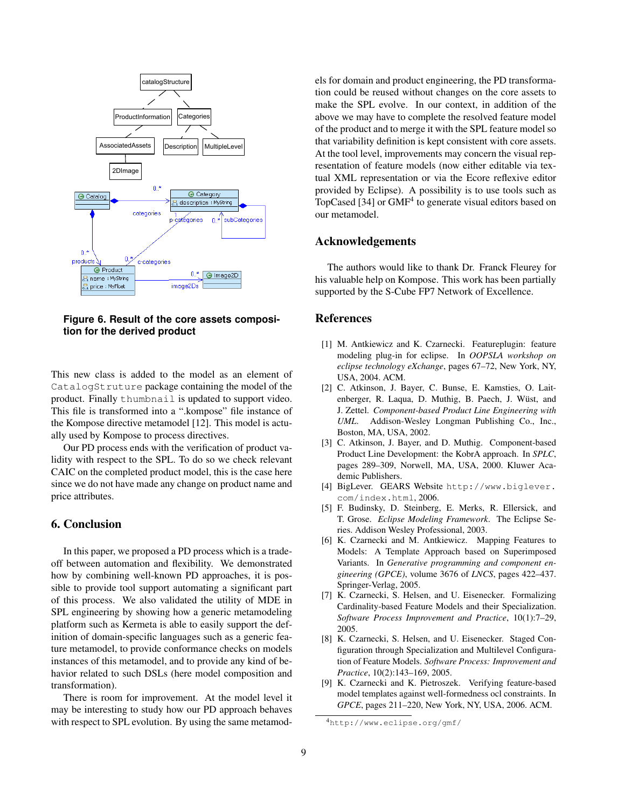

**Figure 6. Result of the core assets composition for the derived product**

This new class is added to the model as an element of CatalogStruture package containing the model of the product. Finally thumbnail is updated to support video. This file is transformed into a ".kompose" file instance of the Kompose directive metamodel [12]. This model is actually used by Kompose to process directives.

Our PD process ends with the verification of product validity with respect to the SPL. To do so we check relevant CAIC on the completed product model, this is the case here since we do not have made any change on product name and price attributes.

## 6. Conclusion

In this paper, we proposed a PD process which is a tradeoff between automation and flexibility. We demonstrated how by combining well-known PD approaches, it is possible to provide tool support automating a significant part of this process. We also validated the utility of MDE in SPL engineering by showing how a generic metamodeling platform such as Kermeta is able to easily support the definition of domain-specific languages such as a generic feature metamodel, to provide conformance checks on models instances of this metamodel, and to provide any kind of behavior related to such DSLs (here model composition and transformation).

There is room for improvement. At the model level it may be interesting to study how our PD approach behaves with respect to SPL evolution. By using the same metamodels for domain and product engineering, the PD transformation could be reused without changes on the core assets to make the SPL evolve. In our context, in addition of the above we may have to complete the resolved feature model of the product and to merge it with the SPL feature model so that variability definition is kept consistent with core assets. At the tool level, improvements may concern the visual representation of feature models (now either editable via textual XML representation or via the Ecore reflexive editor provided by Eclipse). A possibility is to use tools such as TopCased [34] or GMF<sup>4</sup> to generate visual editors based on our metamodel.

# Acknowledgements

The authors would like to thank Dr. Franck Fleurey for his valuable help on Kompose. This work has been partially supported by the S-Cube FP7 Network of Excellence.

# References

- [1] M. Antkiewicz and K. Czarnecki. Featureplugin: feature modeling plug-in for eclipse. In *OOPSLA workshop on eclipse technology eXchange*, pages 67–72, New York, NY, USA, 2004. ACM.
- [2] C. Atkinson, J. Bayer, C. Bunse, E. Kamsties, O. Laitenberger, R. Laqua, D. Muthig, B. Paech, J. Wüst, and J. Zettel. *Component-based Product Line Engineering with UML*. Addison-Wesley Longman Publishing Co., Inc., Boston, MA, USA, 2002.
- [3] C. Atkinson, J. Bayer, and D. Muthig. Component-based Product Line Development: the KobrA approach. In *SPLC*, pages 289–309, Norwell, MA, USA, 2000. Kluwer Academic Publishers.
- [4] BigLever. GEARS Website http://www.biglever. com/index.html, 2006.
- [5] F. Budinsky, D. Steinberg, E. Merks, R. Ellersick, and T. Grose. *Eclipse Modeling Framework*. The Eclipse Series. Addison Wesley Professional, 2003.
- [6] K. Czarnecki and M. Antkiewicz. Mapping Features to Models: A Template Approach based on Superimposed Variants. In *Generative programming and component engineering (GPCE)*, volume 3676 of *LNCS*, pages 422–437. Springer-Verlag, 2005.
- [7] K. Czarnecki, S. Helsen, and U. Eisenecker. Formalizing Cardinality-based Feature Models and their Specialization. *Software Process Improvement and Practice*, 10(1):7–29, 2005.
- [8] K. Czarnecki, S. Helsen, and U. Eisenecker. Staged Configuration through Specialization and Multilevel Configuration of Feature Models. *Software Process: Improvement and Practice*, 10(2):143–169, 2005.
- [9] K. Czarnecki and K. Pietroszek. Verifying feature-based model templates against well-formedness ocl constraints. In *GPCE*, pages 211–220, New York, NY, USA, 2006. ACM.

<sup>4</sup>http://www.eclipse.org/gmf/